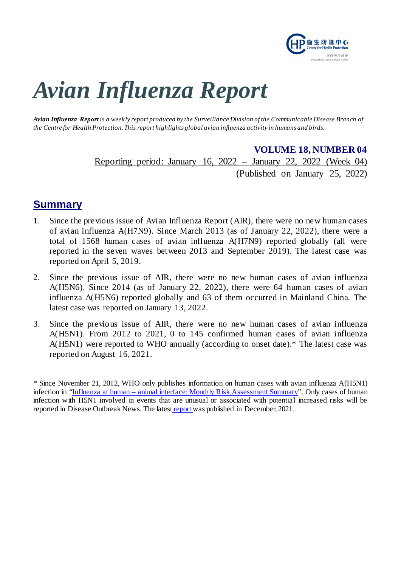

# *Avian Influenza Report*

*Avian Influenza Report is a weekly report produced by the Surveillance Division of the Communicable Disease Branch of the Centre for Health Protection. This report highlights global avian influenza activity in humans and birds.*

#### **VOLUME 18, NUMBER 04**

Reporting period: January 16, 2022 – January 22, 2022 (Week 04) (Published on January 25, 2022)

# **Summary**

- 1. Since the previous issue of Avian Influenza Report (AIR), there were no new human cases of avian influenza A(H7N9). Since March 2013 (as of January 22, 2022), there were a total of 1568 human cases of avian influenza A(H7N9) reported globally (all were reported in the seven waves between 2013 and September 2019). The latest case was reported on April 5, 2019.
- 2. Since the previous issue of AIR, there were no new human cases of avian influenza A(H5N6). Since 2014 (as of January 22, 2022), there were 64 human cases of avian influenza A(H5N6) reported globally and 63 of them occurred in Mainland China. The latest case was reported on January 13, 2022.
- 3. Since the previous issue of AIR, there were no new human cases of avian influenza A(H5N1). From 2012 to 2021, 0 to 145 confirmed human cases of avian influenza A(H5N1) were reported to WHO annually (according to onset date).\* The latest case was reported on August 16, 2021.

<sup>\*</sup> Since November 21, 2012, WHO only publishes information on human cases with avian influenza A(H5N1) infection in "Influenza at human – [animal interface: Monthly Risk Assessment Summary"](https://www.who.int/teams/global-influenza-programme/avian-influenza/monthly-risk-assessment-summary). Only cases of human infection with H5N1 involved in events that are unusual or associated with potential increased risks will be reported in Disease Outbreak News. The latest [report](https://www.who.int/publications/m/item/influenza-at-the-human-animal-interface-summary-and-assessment-13-december-2021) was published in December, 2021.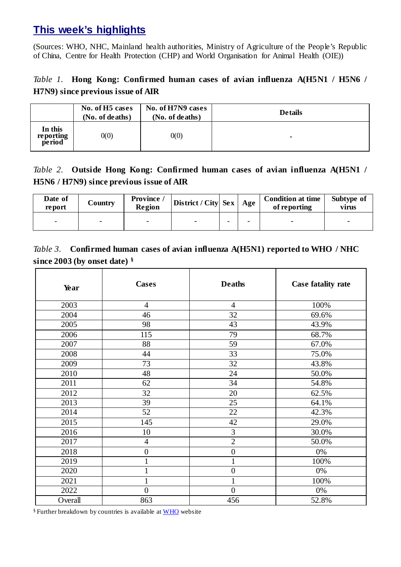# **This week's highlights**

(Sources: WHO, NHC, Mainland health authorities, Ministry of Agriculture of the People's Republic of China, Centre for Health Protection (CHP) and World Organisation for Animal Health (OIE))

## *Table 1.* **Hong Kong: Confirmed human cases of avian influenza A(H5N1 / H5N6 / H7N9) since previous issue of AIR**

|                                | No. of H <sub>5</sub> cases<br>(No. of deaths) | No. of H7N9 cases<br>(No. of deaths) | <b>De tails</b> |
|--------------------------------|------------------------------------------------|--------------------------------------|-----------------|
| In this<br>reporting<br>period | 0(0)                                           | 0(0)                                 | ۰               |

## *Table 2.* **Outside Hong Kong: Confirmed human cases of avian influenza A(H5N1 / H5N6 / H7N9) since previous issue of AIR**

| Date of<br>report | Country | Province /<br>Region | $\vert$ District / City $\vert$ Sex $\vert$ | Age                      | <b>Condition at time</b><br>of reporting | Subtype of<br>virus |
|-------------------|---------|----------------------|---------------------------------------------|--------------------------|------------------------------------------|---------------------|
|                   |         |                      |                                             | $\overline{\phantom{0}}$ |                                          |                     |

## *Table 3.* **Confirmed human cases of avian influenza A(H5N1) reported to WHO / NHC since 2003 (by onset date) §**

| Year    | <b>Cases</b>     | <b>Deaths</b>    | Case fatality rate |
|---------|------------------|------------------|--------------------|
| 2003    | $\overline{4}$   | $\overline{4}$   | 100%               |
| 2004    | 46               | 32               | 69.6%              |
| 2005    | 98               | 43               | 43.9%              |
| 2006    | 115              | 79               | 68.7%              |
| 2007    | 88               | 59               | 67.0%              |
| 2008    | 44               | 33               | 75.0%              |
| 2009    | 73               | 32               | 43.8%              |
| 2010    | 48               | 24               | 50.0%              |
| 2011    | 62               | 34               | 54.8%              |
| 2012    | 32               | 20               | 62.5%              |
| 2013    | 39               | 25               | 64.1%              |
| 2014    | 52               | 22               | 42.3%              |
| 2015    | 145              | 42               | 29.0%              |
| 2016    | 10               | 3                | 30.0%              |
| 2017    | $\overline{4}$   | $\overline{2}$   | 50.0%              |
| 2018    | $\boldsymbol{0}$ | $\boldsymbol{0}$ | 0%                 |
| 2019    |                  | $\mathbf{1}$     | 100%               |
| 2020    |                  | $\boldsymbol{0}$ | 0%                 |
| 2021    |                  | $\mathbf{1}$     | 100%               |
| 2022    | $\overline{0}$   | $\overline{0}$   | 0%                 |
| Overall | 863              | 456              | 52.8%              |

§ Further breakdown by countries is available at [WHO](https://www.who.int/publications/m/item/cumulative-number-of-confirmed-human-cases-for-avian-influenza-a(h5n1)-reported-to-who-2003-2021-13-december-2021) website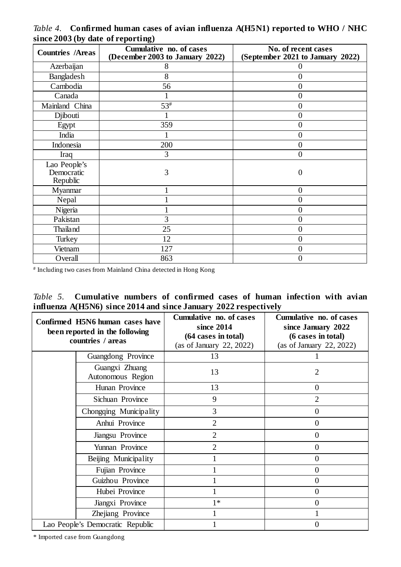| $\frac{1}{2}$ = $\frac{1}{2}$ $\frac{1}{2}$ $\frac{1}{2}$ $\frac{1}{2}$ $\frac{1}{2}$ $\frac{1}{2}$ $\frac{1}{2}$ $\frac{1}{2}$ $\frac{1}{2}$ $\frac{1}{2}$ $\frac{1}{2}$ $\frac{1}{2}$ $\frac{1}{2}$ $\frac{1}{2}$ $\frac{1}{2}$ $\frac{1}{2}$ $\frac{1}{2}$ $\frac{1}{2}$ $\frac{1}{2}$ $\frac{1}{2}$ $\frac{1}{2}$<br><b>Countries /Areas</b> | Cumulative no. of cases<br>(December 2003 to January 2022) | No. of recent cases<br>(September 2021 to January 2022) |
|--------------------------------------------------------------------------------------------------------------------------------------------------------------------------------------------------------------------------------------------------------------------------------------------------------------------------------------------------|------------------------------------------------------------|---------------------------------------------------------|
|                                                                                                                                                                                                                                                                                                                                                  |                                                            |                                                         |
| Azerbaijan                                                                                                                                                                                                                                                                                                                                       | 8                                                          |                                                         |
| Bangladesh                                                                                                                                                                                                                                                                                                                                       | 8                                                          | 0                                                       |
| Cambodia                                                                                                                                                                                                                                                                                                                                         | 56                                                         | $\overline{0}$                                          |
| Canada                                                                                                                                                                                                                                                                                                                                           |                                                            | 0                                                       |
| Mainland China                                                                                                                                                                                                                                                                                                                                   | 53#                                                        | 0                                                       |
| Djibouti                                                                                                                                                                                                                                                                                                                                         |                                                            | 0                                                       |
| Egypt                                                                                                                                                                                                                                                                                                                                            | 359                                                        | $\overline{0}$                                          |
| India                                                                                                                                                                                                                                                                                                                                            |                                                            | $\pmb{0}$                                               |
| Indonesia                                                                                                                                                                                                                                                                                                                                        | 200                                                        | $\overline{0}$                                          |
| Iraq                                                                                                                                                                                                                                                                                                                                             | 3                                                          | $\overline{0}$                                          |
| Lao People's                                                                                                                                                                                                                                                                                                                                     |                                                            |                                                         |
| Democratic                                                                                                                                                                                                                                                                                                                                       | 3                                                          | 0                                                       |
| Republic                                                                                                                                                                                                                                                                                                                                         |                                                            |                                                         |
| Myanmar                                                                                                                                                                                                                                                                                                                                          |                                                            | $\overline{0}$                                          |
| Nepal                                                                                                                                                                                                                                                                                                                                            |                                                            | 0                                                       |
| Nigeria                                                                                                                                                                                                                                                                                                                                          |                                                            | 0                                                       |
| Pakistan                                                                                                                                                                                                                                                                                                                                         | 3                                                          | 0                                                       |
| Thailand                                                                                                                                                                                                                                                                                                                                         | 25                                                         | $\boldsymbol{0}$                                        |
| Turkey                                                                                                                                                                                                                                                                                                                                           | 12                                                         | 0                                                       |
| Vietnam                                                                                                                                                                                                                                                                                                                                          | 127                                                        | 0                                                       |
| Overall                                                                                                                                                                                                                                                                                                                                          | 863                                                        | 0                                                       |

*Table 4.* **Confirmed human cases of avian influenza A(H5N1) reported to WHO / NHC since 2003 (by date of reporting)**

# Including two cases from Mainland China detected in Hong Kong

|  | <i>Table 5.</i> Cumulative numbers of confirmed cases of human infection with avian |  |  |  |  |  |
|--|-------------------------------------------------------------------------------------|--|--|--|--|--|
|  | influenza A(H5N6) since 2014 and since January 2022 respectively                    |  |  |  |  |  |

| Confirmed H5N6 human cases have<br>been reported in the following<br>countries / areas |                                     | Cumulative no. of cases<br>since 2014<br>(64 cases in total)<br>(as of January 22, 2022) | Cumulative no. of cases<br>since January 2022<br>(6 cases in total)<br>(as of January 22, 2022) |
|----------------------------------------------------------------------------------------|-------------------------------------|------------------------------------------------------------------------------------------|-------------------------------------------------------------------------------------------------|
|                                                                                        | Guangdong Province                  | 13                                                                                       |                                                                                                 |
|                                                                                        | Guangxi Zhuang<br>Autonomous Region | 13                                                                                       | 2                                                                                               |
|                                                                                        | Hunan Province                      | 13                                                                                       | $\overline{0}$                                                                                  |
|                                                                                        | Sichuan Province                    | 9                                                                                        | $\overline{2}$                                                                                  |
|                                                                                        | Chongqing Municipality              | 3                                                                                        | $\overline{0}$                                                                                  |
|                                                                                        | Anhui Province                      | $\overline{2}$                                                                           | $\overline{0}$                                                                                  |
|                                                                                        | Jiangsu Province                    | $\overline{2}$                                                                           | $\overline{0}$                                                                                  |
|                                                                                        | Yunnan Province                     | $\overline{2}$                                                                           | 0                                                                                               |
|                                                                                        | Beijing Municipality                |                                                                                          | 0                                                                                               |
|                                                                                        | Fujian Province                     |                                                                                          | $\Omega$                                                                                        |
|                                                                                        | Guizhou Province                    |                                                                                          | $\theta$                                                                                        |
|                                                                                        | Hubei Province                      |                                                                                          | $\Omega$                                                                                        |
|                                                                                        | Jiangxi Province                    | $1*$                                                                                     | 0                                                                                               |
|                                                                                        | Zhejiang Province                   |                                                                                          |                                                                                                 |
|                                                                                        | Lao People's Democratic Republic    |                                                                                          | 0                                                                                               |

\* Imported case from Guangdong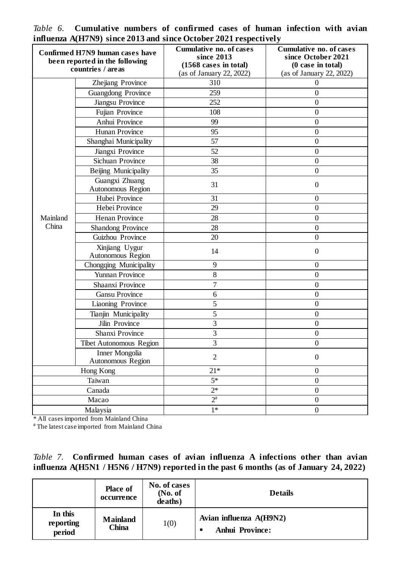| Confirmed H7N9 human cases have<br>been reported in the following<br>countries / areas |                                     | <b>Cumulative no. of cases</b><br>since 2013<br>(1568 cases in total)<br>(as of January 22, 2022) | <b>Cumulative no. of cases</b><br>since October 2021<br>$(0 \text{ case in total})$<br>(as of January 22, 2022) |  |
|----------------------------------------------------------------------------------------|-------------------------------------|---------------------------------------------------------------------------------------------------|-----------------------------------------------------------------------------------------------------------------|--|
|                                                                                        | Zhejiang Province                   | 310                                                                                               | $\boldsymbol{0}$                                                                                                |  |
|                                                                                        | Guangdong Province                  | 259                                                                                               | $\boldsymbol{0}$                                                                                                |  |
|                                                                                        | Jiangsu Province                    | 252                                                                                               | $\boldsymbol{0}$                                                                                                |  |
|                                                                                        | Fujian Province                     | 108                                                                                               | $\boldsymbol{0}$                                                                                                |  |
|                                                                                        | Anhui Province                      | 99                                                                                                | $\boldsymbol{0}$                                                                                                |  |
|                                                                                        | <b>Hunan Province</b>               | 95                                                                                                | $\overline{0}$                                                                                                  |  |
|                                                                                        | Shanghai Municipality               | 57                                                                                                | $\boldsymbol{0}$                                                                                                |  |
|                                                                                        | Jiangxi Province                    | 52                                                                                                | $\boldsymbol{0}$                                                                                                |  |
|                                                                                        | Sichuan Province                    | 38                                                                                                | $\overline{0}$                                                                                                  |  |
|                                                                                        | Beijing Municipality                | 35                                                                                                | $\mathbf{0}$                                                                                                    |  |
|                                                                                        | Guangxi Zhuang<br>Autonomous Region | 31                                                                                                | $\boldsymbol{0}$                                                                                                |  |
|                                                                                        | Hubei Province                      | 31                                                                                                | $\mathbf{0}$                                                                                                    |  |
|                                                                                        | Hebei Province                      | 29                                                                                                | $\mathbf{0}$                                                                                                    |  |
| Mainland                                                                               | <b>Henan Province</b>               | 28                                                                                                | $\boldsymbol{0}$                                                                                                |  |
| China                                                                                  | <b>Shandong Province</b>            | 28                                                                                                | $\overline{0}$                                                                                                  |  |
|                                                                                        | Guizhou Province                    | 20                                                                                                | $\boldsymbol{0}$                                                                                                |  |
|                                                                                        | Xinjiang Uygur<br>Autonomous Region | 14                                                                                                | $\boldsymbol{0}$                                                                                                |  |
|                                                                                        | Chongqing Municipality              | 9                                                                                                 | $\overline{0}$                                                                                                  |  |
|                                                                                        | Yunnan Province                     | $8\,$                                                                                             | $\boldsymbol{0}$                                                                                                |  |
|                                                                                        | Shaanxi Province                    | $\tau$                                                                                            | $\mathbf{0}$                                                                                                    |  |
|                                                                                        | <b>Gansu Province</b>               | 6                                                                                                 | $\boldsymbol{0}$                                                                                                |  |
|                                                                                        | Liaoning Province                   | 5                                                                                                 | $\boldsymbol{0}$                                                                                                |  |
|                                                                                        | Tianjin Municipality                | 5                                                                                                 | $\boldsymbol{0}$                                                                                                |  |
|                                                                                        | Jilin Province                      | 3                                                                                                 | $\boldsymbol{0}$                                                                                                |  |
|                                                                                        | Shanxi Province                     | 3                                                                                                 | $\boldsymbol{0}$                                                                                                |  |
|                                                                                        | <b>Tibet Autonomous Region</b>      | 3                                                                                                 | $\boldsymbol{0}$                                                                                                |  |
|                                                                                        | Inner Mongolia<br>Autonomous Region | $\overline{2}$                                                                                    | $\boldsymbol{0}$                                                                                                |  |
|                                                                                        | Hong Kong                           | $21*$                                                                                             | $\boldsymbol{0}$                                                                                                |  |
|                                                                                        | Taiwan                              | $5*$                                                                                              | $\boldsymbol{0}$                                                                                                |  |
|                                                                                        | Canada                              | $2*$                                                                                              | $\overline{0}$                                                                                                  |  |
|                                                                                        | Macao                               | $2^{\#}$                                                                                          | $\boldsymbol{0}$                                                                                                |  |
|                                                                                        | Malaysia                            | $1*$                                                                                              | $\boldsymbol{0}$                                                                                                |  |

*Table 6.* **Cumulative numbers of confirmed cases of human infection with avian influenza A(H7N9) since 2013 and since October 2021 respectively**

\* All cases imported from Mainland China

# The latest case imported from Mainland China

|  | <i>Table 7.</i> Confirmed human cases of avian influenza A infections other than avian   |  |  |  |  |  |
|--|------------------------------------------------------------------------------------------|--|--|--|--|--|
|  | influenza $A(H5N1 / H5N6 / H7N9)$ reported in the past 6 months (as of January 24, 2022) |  |  |  |  |  |

|                                | <b>Place of</b><br>occurrence   | No. of cases<br>No. of<br>deaths) | <b>Details</b>                                    |
|--------------------------------|---------------------------------|-----------------------------------|---------------------------------------------------|
| In this<br>reporting<br>period | <b>Mainland</b><br><b>China</b> | 1(0)                              | Avian influenza A(H9N2)<br><b>Anhui Province:</b> |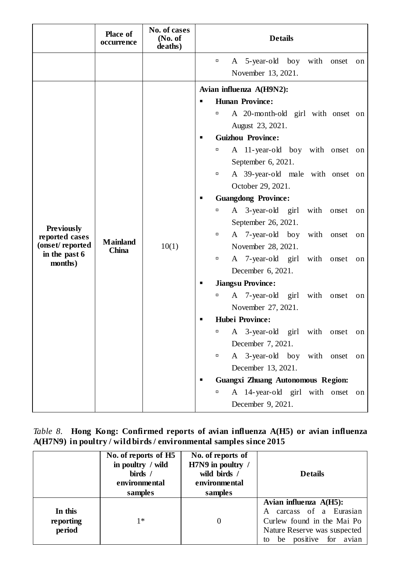|                                                                                    | <b>Place of</b><br>occurrence   | No. of cases<br>(No. of<br>deaths) | <b>Details</b>                                                                                                                                                                                                                                                                                                                                                                                                                                                                                                                                                                                                                                                                                                                                                                                                                      |  |  |  |
|------------------------------------------------------------------------------------|---------------------------------|------------------------------------|-------------------------------------------------------------------------------------------------------------------------------------------------------------------------------------------------------------------------------------------------------------------------------------------------------------------------------------------------------------------------------------------------------------------------------------------------------------------------------------------------------------------------------------------------------------------------------------------------------------------------------------------------------------------------------------------------------------------------------------------------------------------------------------------------------------------------------------|--|--|--|
|                                                                                    |                                 |                                    | A 5-year-old boy with onset<br>$\Box$<br>on<br>November 13, 2021.                                                                                                                                                                                                                                                                                                                                                                                                                                                                                                                                                                                                                                                                                                                                                                   |  |  |  |
| <b>Previously</b><br>reported cases<br>(onset/reported<br>in the past 6<br>months) | <b>Mainland</b><br><b>China</b> | 10(1)                              | Avian influenza A(H9N2):<br><b>Hunan Province:</b><br>A 20-month-old girl with onset on<br>α<br>August 23, 2021.<br><b>Guizhou Province:</b><br>п<br>A 11-year-old boy with onset on<br>α<br>September 6, 2021.<br>A 39-year-old male with onset on<br>п<br>October 29, 2021.<br><b>Guangdong Province:</b><br>п<br>A 3-year-old girl with onset<br>α<br>on<br>September 26, 2021.<br>A 7-year-old boy with onset<br>α<br>on<br>November 28, 2021.<br>A 7-year-old girl<br>with<br>onset<br>α<br>on<br>December 6, 2021.<br><b>Jiangsu Province:</b><br>A 7-year-old girl with<br>α<br>onset<br>on<br>November 27, 2021.<br><b>Hubei Province:</b><br>■<br>A 3-year-old girl with onset<br>α<br>on<br>December 7, 2021.<br>A 3-year-old boy with onset<br>α<br>on<br>December 13, 2021.<br><b>Guangxi Zhuang Autonomous Region:</b> |  |  |  |
|                                                                                    |                                 |                                    | A 14-year-old girl with onset<br>α<br>on<br>December 9, 2021.                                                                                                                                                                                                                                                                                                                                                                                                                                                                                                                                                                                                                                                                                                                                                                       |  |  |  |

#### *Table 8.* **Hong Kong: Confirmed reports of avian influenza A(H5) or avian influenza A(H7N9) in poultry / wild birds / environmental samples since 2015**

|                                | No. of reports of H5<br>in poultry / wild<br>birds /<br>environmental<br>samples | No. of reports of<br>H7N9 in poultry /<br>wild birds /<br>environmental<br>samples | <b>Details</b>                                                                                                                                 |
|--------------------------------|----------------------------------------------------------------------------------|------------------------------------------------------------------------------------|------------------------------------------------------------------------------------------------------------------------------------------------|
| In this<br>reporting<br>period | $1*$                                                                             | $\theta$                                                                           | Avian influenza A(H5):<br>A carcass of a Eurasian<br>Curlew found in the Mai Po<br>Nature Reserve was suspected<br>be positive for avian<br>to |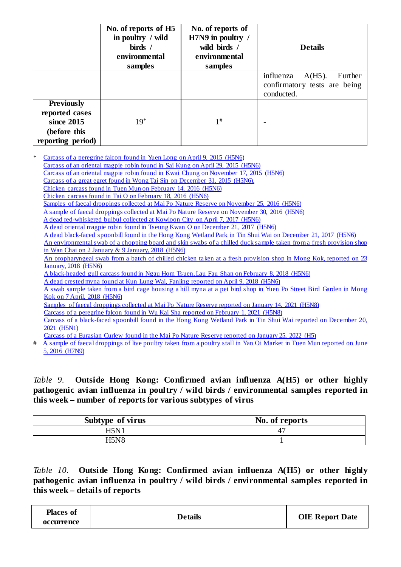|                                                                                        | No. of reports of H5<br>in poultry / wild<br>birds /<br>environmental<br>samples | No. of reports of<br>H7N9 in poultry /<br>wild birds /<br>environmental<br>samples | <b>Details</b>                                                                  |
|----------------------------------------------------------------------------------------|----------------------------------------------------------------------------------|------------------------------------------------------------------------------------|---------------------------------------------------------------------------------|
|                                                                                        |                                                                                  |                                                                                    | influenza<br>$A(H5)$ .<br>Further<br>confirmatory tests are being<br>conducted. |
| <b>Previously</b><br>reported cases<br>since 2015<br>(before this<br>reporting period) | $19*$                                                                            | $1^{\#}$                                                                           |                                                                                 |

Carcass [of a peregrine falcon found in Yuen Long](http://www.info.gov.hk/gia/general/201504/16/P201504160731.htm) on April 9, 2015 (H5N6) [Carcass of an oriental magpie robin found in Sai Kung on April 29, 2015 \(H5N6\)](http://www.info.gov.hk/gia/general/201505/05/P201505050329.htm) [Carcass of an oriental magpie robin found in Kwai Chung on November 17, 2015 \(H5N6\)](http://www.info.gov.hk/gia/general/201511/23/P201511230369.htm) [Carcass of a great egret found in Wong Tai Sin](http://www.info.gov.hk/gia/general/201601/05/P201601050710.htm) on December 31, 2015 (H5N6). Chicken carcass found in Tuen Mun [on February 14, 2016](http://www.info.gov.hk/gia/general/201602/19/P201602190497.htm) (H5N6) [Chicken carcass found in Tai O](http://www.info.gov.hk/gia/general/201602/23/P201602230570.htm) on February 18, 2016 (H5N6) Samples of faecal droppings collected at Mai Po Nature Reserve [on November 25, 2016 \(H5N6\)](http://www.info.gov.hk/gia/general/201612/05/P2016120500911.htm) [A sample of faecal droppings collected at Mai Po Nature Reserve on November 30, 2016 \(H5N6\)](http://www.info.gov.hk/gia/general/201612/08/P2016120800691.htm) A dead red-whiskered bulbul collected [at Kowloon City on April 7, 2017 \(H5N6\)](http://www.info.gov.hk/gia/general/201704/12/P2017041200953.htm?fontSize=1) A dead [oriental magpie robin found in Tseung Kwan O](http://www.info.gov.hk/gia/general/201712/25/P2017122500627.htm?fontSize=1) on December 21, 2017 (H5N6) A dead [black-faced spoonbill found in the Hong Kong Wetland Park in Tin Shui Wai](http://www.info.gov.hk/gia/general/201712/22/P2017122201124.htm?fontSize=1) on December 21, 2017 (H5N6) An environmental swab of a chopping board and skin swabs of a chilled duck sample taken from a fresh provision shop in Wan Chai on 2 January [& 9 January, 2018 \(H5N6\)](http://www.info.gov.hk/gia/general/201801/12/P2018011201171.htm?fontSize=1) [An oropharyngeal swab from a batch of chilled chicken taken at a fresh provision shop in Mong Kok, reported](http://www.info.gov.hk/gia/general/201801/23/P2018012300717.htm?fontSize=1) on 23 [January, 2018 \(H5N6\)](http://www.info.gov.hk/gia/general/201801/23/P2018012300717.htm?fontSize=1) [A black-headed gull carcass found in Ngau Hom Tsuen, Lau Fau Shan](http://www.info.gov.hk/gia/general/201802/09/P2018020900962.htm?fontSize=1) on February 8, 2018 (H5N6) [A dead crested myna found at Kun Lung Wai, Fanling](https://www.info.gov.hk/gia/general/201804/09/P2018040900728.htm) reported on April 9, 2018 (H5N6) [A swab sample taken from a bird cage housing a hill myna at a pet bird shop in Yuen Po Street Bird Garden in Mong](http://www.info.gov.hk/gia/general/201804/13/P2018041300374.htm?fontSize=1)  Kok on 7 [April, 2018 \(H5N6\)](http://www.info.gov.hk/gia/general/201804/13/P2018041300374.htm?fontSize=1) [Samples of faecal droppings collected at Mai Po Nature Reserve reported on January 14, 2021](https://www.afcd.gov.hk/english/publications/publications_press/pr2429.html) (H5N8) [Carcass of a peregrine falcon found in Wu Kai Sha reported on February 1, 2021 \(H5N8\)](https://www.info.gov.hk/gia/general/202102/01/P2021020100738.htm?fontSize=1) [Carcass of a black-faced spoonbill found in the Hong Kong Wetland Park in Tin Shui Wai reported on December 20,](https://www.afcd.gov.hk/english/publications/publications_press/pr2503.html)  [2021 \(H5N1\)](https://www.afcd.gov.hk/english/publications/publications_press/pr2503.html) [Carcass of a Eurasian Curlew found in the Mai Po Nature Reserve reported on January 25, 2022 \(H5\)](https://www.info.gov.hk/gia/general/202201/25/P2022012500394.htm)

# A sample of faecal droppings of live poultry taken from a poultry stall in Yan Oi Market in Tuen Mun reported on June [5, 2016 \(H7N9\)](http://www.info.gov.hk/gia/general/201606/05/P201606050090.htm)

#### *Table 9.* **Outside Hong Kong: Confirmed avian influenza A(H5) or other highly pathogenic avian influenza in poultry / wild birds / environmental samples reported in this week – number of reports for various subtypes of virus**

| Subtype of virus | No. of reports |
|------------------|----------------|
| H5N <sup>1</sup> |                |
| H5N8             |                |

*Table 10.* **Outside Hong Kong: Confirmed avian influenza A(H5) or other highly pathogenic avian influenza in poultry / wild birds / environmental samples reported in this week – details of reports**

| <b>Places of</b> | <b>Details</b> | <b>OIE Report Date</b> |
|------------------|----------------|------------------------|
| occurrence       |                |                        |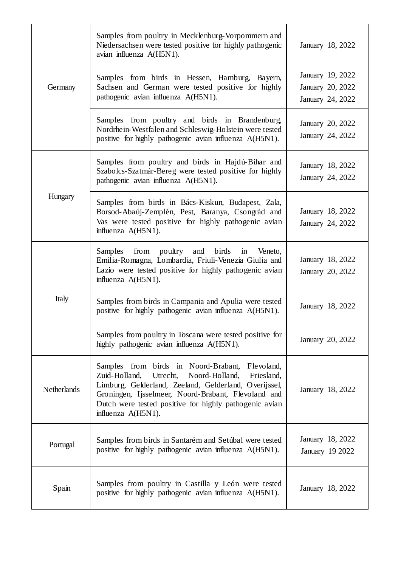|                    | Samples from poultry in Mecklenburg-Vorpommern and<br>Niedersachsen were tested positive for highly pathogenic<br>avian influenza A(H5N1).                                                                                                                                                                   | January 18, 2022                                         |
|--------------------|--------------------------------------------------------------------------------------------------------------------------------------------------------------------------------------------------------------------------------------------------------------------------------------------------------------|----------------------------------------------------------|
| Germany            | Samples from birds in Hessen, Hamburg, Bayern,<br>Sachsen and German were tested positive for highly<br>pathogenic avian influenza A(H5N1).                                                                                                                                                                  | January 19, 2022<br>January 20, 2022<br>January 24, 2022 |
|                    | Samples from poultry and birds in Brandenburg,<br>Nordrhein-Westfalen and Schleswig-Holstein were tested<br>positive for highly pathogenic avian influenza A(H5N1).                                                                                                                                          | January 20, 2022<br>January 24, 2022                     |
|                    | Samples from poultry and birds in Hajdú-Bihar and<br>Szabolcs-Szatmár-Bereg were tested positive for highly<br>pathogenic avian influenza A(H5N1).                                                                                                                                                           | January 18, 2022<br>January 24, 2022                     |
| Hungary            | Samples from birds in Bács-Kiskun, Budapest, Zala,<br>Borsod-Abaúj-Zemplén, Pest, Baranya, Csongrád and<br>Vas were tested positive for highly pathogenic avian<br>influenza A(H5N1).                                                                                                                        | January 18, 2022<br>January 24, 2022                     |
|                    | from poultry and birds in<br>Samples<br>Veneto,<br>Emilia-Romagna, Lombardia, Friuli-Venezia Giulia and<br>Lazio were tested positive for highly pathogenic avian<br>influenza A(H5N1).                                                                                                                      | January 18, 2022<br>January 20, 2022                     |
| Italy              | Samples from birds in Campania and Apulia were tested<br>positive for highly pathogenic avian influenza A(H5N1).                                                                                                                                                                                             | January 18, 2022                                         |
|                    | Samples from poultry in Toscana were tested positive for<br>highly pathogenic avian influenza A(H5N1).                                                                                                                                                                                                       | January 20, 2022                                         |
| <b>Netherlands</b> | Samples from birds in Noord-Brabant, Flevoland,<br>Utrecht,<br>Noord-Holland,<br>Friesland,<br>Zuid-Holland,<br>Limburg, Gelderland, Zeeland, Gelderland, Overijssel,<br>Groningen, Ijsselmeer, Noord-Brabant, Flevoland and<br>Dutch were tested positive for highly pathogenic avian<br>influenza A(H5N1). | January 18, 2022                                         |
| Portugal           | Samples from birds in Santarém and Setúbal were tested<br>positive for highly pathogenic avian influenza A(H5N1).                                                                                                                                                                                            | January 18, 2022<br>January 19 2022                      |
| Spain              | Samples from poultry in Castilla y León were tested<br>positive for highly pathogenic avian influenza A(H5N1).                                                                                                                                                                                               | January 18, 2022                                         |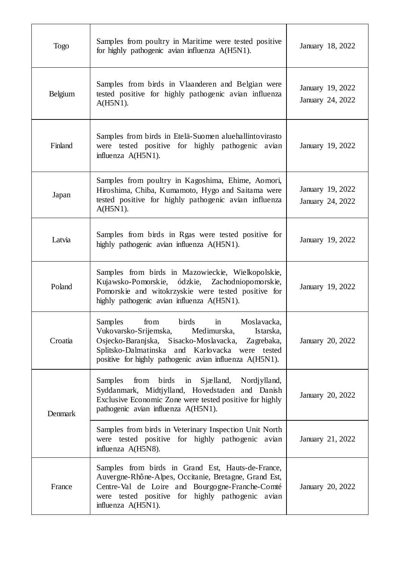| <b>Togo</b> | Samples from poultry in Maritime were tested positive<br>for highly pathogenic avian influenza A(H5N1).                                                                                                                                                                  | January 18, 2022                     |
|-------------|--------------------------------------------------------------------------------------------------------------------------------------------------------------------------------------------------------------------------------------------------------------------------|--------------------------------------|
| Belgium     | Samples from birds in Vlaanderen and Belgian were<br>tested positive for highly pathogenic avian influenza<br>$A(H5N1)$ .                                                                                                                                                | January 19, 2022<br>January 24, 2022 |
| Finland     | Samples from birds in Etelä-Suomen aluehallintovirasto<br>were tested positive for highly pathogenic avian<br>influenza A(H5N1).                                                                                                                                         | January 19, 2022                     |
| Japan       | Samples from poultry in Kagoshima, Ehime, Aomori,<br>Hiroshima, Chiba, Kumamoto, Hygo and Saitama were<br>tested positive for highly pathogenic avian influenza<br>$A(H5N1)$ .                                                                                           | January 19, 2022<br>January 24, 2022 |
| Latvia      | Samples from birds in Rgas were tested positive for<br>highly pathogenic avian influenza A(H5N1).                                                                                                                                                                        | January 19, 2022                     |
| Poland      | Samples from birds in Mazowieckie, Wielkopolskie,<br>Kujawsko-Pomorskie, ódzkie,<br>Zachodniopomorskie,<br>Pomorskie and witokrzyskie were tested positive for<br>highly pathogenic avian influenza A(H5N1).                                                             | January 19, 2022                     |
| Croatia     | birds<br>Samples<br>from<br>Moslavacka,<br>in<br>Vukovarsko-Srijemska,<br>Istarska,<br>Medimurska,<br>Osjecko-Baranjska, Sisacko-Moslavacka,<br>Zagrebaka,<br>Splitsko-Dalmatinska and Karlovacka were tested<br>positive for highly pathogenic avian influenza A(H5N1). | January 20, 2022                     |
| Denmark     | from birds in Sjælland, Nordjylland,<br>Samples<br>Syddanmark, Midtjylland, Hovedstaden and Danish<br>Exclusive Economic Zone were tested positive for highly<br>pathogenic avian influenza A(H5N1).                                                                     | January 20, 2022                     |
|             | Samples from birds in Veterinary Inspection Unit North<br>were tested positive for highly pathogenic avian<br>influenza A(H5N8).                                                                                                                                         | January 21, 2022                     |
| France      | Samples from birds in Grand Est, Hauts-de-France,<br>Auvergne-Rhône-Alpes, Occitanie, Bretagne, Grand Est,<br>Centre-Val de Loire and Bourgogne-Franche-Comté<br>were tested positive for highly pathogenic avian<br>influenza A(H5N1).                                  | January 20, 2022                     |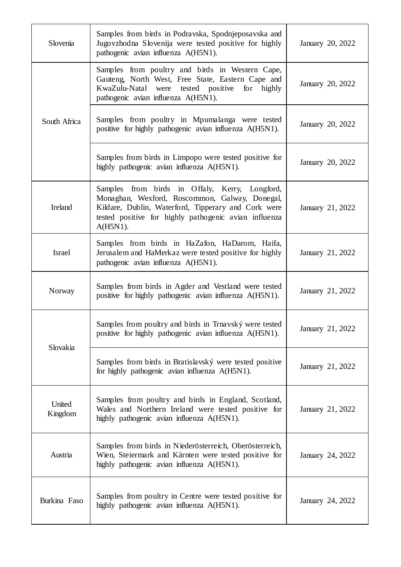| Slovenia          | Samples from birds in Podravska, Spodnjeposavska and<br>Jugovzhodna Slovenija were tested positive for highly<br>pathogenic avian influenza A(H5N1).                                                                            | January 20, 2022 |
|-------------------|---------------------------------------------------------------------------------------------------------------------------------------------------------------------------------------------------------------------------------|------------------|
|                   | Samples from poultry and birds in Western Cape,<br>Gauteng, North West, Free State, Eastern Cape and<br>tested positive for highly<br>KwaZulu-Natal were<br>pathogenic avian influenza A(H5N1).                                 | January 20, 2022 |
| South Africa      | Samples from poultry in Mpumalanga were tested<br>positive for highly pathogenic avian influenza A(H5N1).                                                                                                                       | January 20, 2022 |
|                   | Samples from birds in Limpopo were tested positive for<br>highly pathogenic avian influenza A(H5N1).                                                                                                                            | January 20, 2022 |
| Ireland           | Samples from birds in Offaly, Kerry, Longford,<br>Monaghan, Wexford, Roscommon, Galway, Donegal,<br>Kildare, Dublin, Waterford, Tipperary and Cork were<br>tested positive for highly pathogenic avian influenza<br>$A(H5N1)$ . | January 21, 2022 |
| <b>Israel</b>     | Samples from birds in HaZafon, HaDarom, Haifa,<br>Jerusalem and HaMerkaz were tested positive for highly<br>pathogenic avian influenza A(H5N1).                                                                                 | January 21, 2022 |
| Norway            | Samples from birds in Agder and Vestland were tested<br>positive for highly pathogenic avian influenza A(H5N1).                                                                                                                 | January 21, 2022 |
| Slovakia          | Samples from poultry and birds in Trnavský were tested<br>positive for highly pathogenic avian influenza A(H5N1).                                                                                                               | January 21, 2022 |
|                   | Samples from birds in Bratislavský were tested positive<br>for highly pathogenic avian influenza A(H5N1).                                                                                                                       | January 21, 2022 |
| United<br>Kingdom | Samples from poultry and birds in England, Scotland,<br>Wales and Northern Ireland were tested positive for<br>highly pathogenic avian influenza A(H5N1).                                                                       | January 21, 2022 |
| Austria           | Samples from birds in Niederösterreich, Oberösterreich,<br>Wien, Steiermark and Kärnten were tested positive for<br>highly pathogenic avian influenza A(H5N1).                                                                  | January 24, 2022 |
| Burkina Faso      | Samples from poultry in Centre were tested positive for<br>highly pathogenic avian influenza A(H5N1).                                                                                                                           | January 24, 2022 |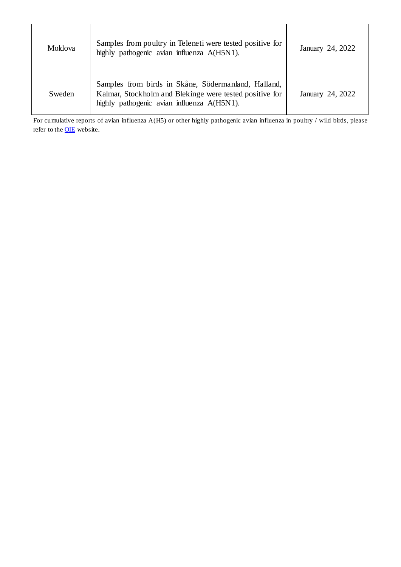| Moldova | Samples from poultry in Teleneti were tested positive for<br>highly pathogenic avian influenza A(H5N1).                                                      | January 24, 2022 |
|---------|--------------------------------------------------------------------------------------------------------------------------------------------------------------|------------------|
| Sweden  | Samples from birds in Skåne, Södermanland, Halland,<br>Kalmar, Stockholm and Blekinge were tested positive for<br>highly pathogenic avian influenza A(H5N1). | January 24, 2022 |

For cumulative reports of avian influenza A(H5) or other highly pathogenic avian influenza in poultry / wild birds, please refer to the **OIE** website.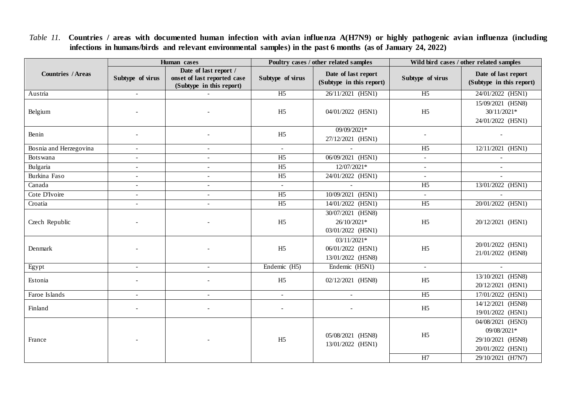*Table 11.* **Countries / areas with documented human infection with avian influenza A(H7N9) or highly pathogenic avian influenza (including infections in humans/birds and relevant environmental samples) in the past 6 months (as of January 24, 2022)**

|                          | Human cases      |                                                                                  | Poultry cases / other related samples |                                                         | Wild bird cases / other related samples |                                                                                                 |
|--------------------------|------------------|----------------------------------------------------------------------------------|---------------------------------------|---------------------------------------------------------|-----------------------------------------|-------------------------------------------------------------------------------------------------|
| <b>Countries / Areas</b> | Subtype of virus | Date of last report /<br>onset of last reported case<br>(Subtype in this report) | Subtype of virus                      | Date of last report<br>(Subtype in this report)         | Subtype of virus                        | Date of last report<br>(Subtype in this report)                                                 |
| Austria                  | $\sim$           |                                                                                  | $\overline{H5}$                       | 26/11/2021 (H5N1)                                       | $\overline{H5}$                         | 24/01/2022 (H5N1)                                                                               |
| Belgium                  |                  |                                                                                  | H <sub>5</sub>                        | 04/01/2022 (H5N1)                                       | H <sub>5</sub>                          | 15/09/2021 (H5N8)<br>30/11/2021*<br>24/01/2022 (H5N1)                                           |
| Benin                    |                  |                                                                                  | H <sub>5</sub>                        | 09/09/2021*<br>27/12/2021 (H5N1)                        |                                         |                                                                                                 |
| Bosnia and Herzegovina   | $\sim$           | $\overline{a}$                                                                   | $\omega$                              | $\mathbb{Z}^2$                                          | H <sub>5</sub>                          | 12/11/2021 (H5N1)                                                                               |
| Botswana                 | $\sim$           |                                                                                  | H <sub>5</sub>                        | 06/09/2021 (H5N1)                                       |                                         |                                                                                                 |
| Bulgaria                 | $\sim$           | $\overline{a}$                                                                   | H <sub>5</sub>                        | 12/07/2021*                                             |                                         |                                                                                                 |
| Burkina Faso             | $\blacksquare$   | $\overline{\phantom{a}}$                                                         | H <sub>5</sub>                        | 24/01/2022 (H5N1)                                       | $\sim$                                  |                                                                                                 |
| Canada                   | $\overline{a}$   | $\blacksquare$                                                                   | $\sim$                                | $\sim$                                                  | H <sub>5</sub>                          | 13/01/2022 (H5N1)                                                                               |
| Cote D'Ivoire            |                  |                                                                                  | H <sub>5</sub>                        | 10/09/2021 (H5N1)                                       |                                         |                                                                                                 |
| Croatia                  | $\sim$           |                                                                                  | H <sub>5</sub>                        | 14/01/2022 (H5N1)                                       | H <sub>5</sub>                          | 20/01/2022 (H5N1)                                                                               |
| Czech Republic           |                  |                                                                                  | H <sub>5</sub>                        | 30/07/2021 (H5N8)<br>26/10/2021*<br>03/01/2022 (H5N1)   | H <sub>5</sub>                          | 20/12/2021 (H5N1)                                                                               |
| Denmark                  |                  |                                                                                  | H <sub>5</sub>                        | $03/11/2021*$<br>06/01/2022 (H5N1)<br>13/01/2022 (H5N8) | H <sub>5</sub>                          | 20/01/2022 (H5N1)<br>21/01/2022 (H5N8)                                                          |
| Egypt                    | $\blacksquare$   | $\overline{\phantom{a}}$                                                         | Endemic (H5)                          | Endemic (H5N1)                                          | $\overline{\phantom{a}}$                | $\mathcal{L}^{\mathcal{A}}$                                                                     |
| Estonia                  |                  |                                                                                  | H <sub>5</sub>                        | 02/12/2021 (H5N8)                                       | H <sub>5</sub>                          | 13/10/2021 (H5N8)<br>20/12/2021 (H5N1)                                                          |
| Faroe Islands            | $\blacksquare$   | $\overline{\phantom{a}}$                                                         | $\blacksquare$                        | $\blacksquare$                                          | H <sub>5</sub>                          | 17/01/2022 (H5N1)                                                                               |
| Finland                  |                  |                                                                                  | $\sim$                                |                                                         | H <sub>5</sub>                          | 14/12/2021 (H5N8)<br>19/01/2022 (H5N1)                                                          |
| France                   |                  |                                                                                  | H <sub>5</sub>                        | 05/08/2021 (H5N8)<br>13/01/2022 (H5N1)                  | H <sub>5</sub><br>H7                    | 04/08/2021 (H5N3)<br>09/08/2021*<br>29/10/2021 (H5N8)<br>20/01/2022 (H5N1)<br>29/10/2021 (H7N7) |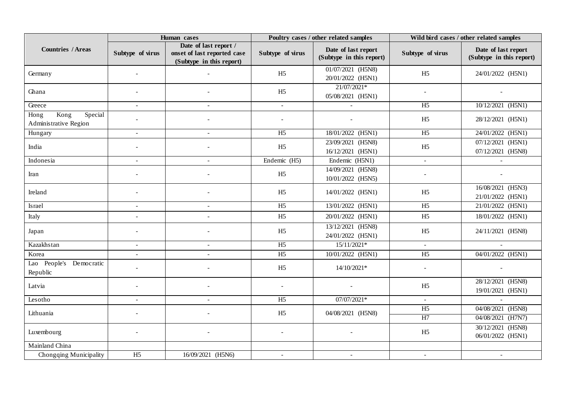|                                                  | Human cases              |                                                                                  | Poultry cases / other related samples |                                                     | Wild bird cases / other related samples |                                                 |
|--------------------------------------------------|--------------------------|----------------------------------------------------------------------------------|---------------------------------------|-----------------------------------------------------|-----------------------------------------|-------------------------------------------------|
| <b>Countries / Areas</b>                         | Subtype of virus         | Date of last report /<br>onset of last reported case<br>(Subtype in this report) | Subtype of virus                      | Date of last report<br>(Subtype in this report)     | Subtype of virus                        | Date of last report<br>(Subtype in this report) |
| Germany                                          |                          |                                                                                  | H <sub>5</sub>                        | 01/07/2021 (H5N8)<br>20/01/2022 (H5N1)              | H <sub>5</sub>                          | 24/01/2022 (H5N1)                               |
| Ghana                                            |                          |                                                                                  | H <sub>5</sub>                        | 21/07/2021*<br>05/08/2021 (H5N1)                    |                                         |                                                 |
| Greece                                           | $\overline{\phantom{a}}$ |                                                                                  | $\mathbf{u}$                          |                                                     | H <sub>5</sub>                          | 10/12/2021 (H5N1)                               |
| Kong<br>Special<br>Hong<br>Administrative Region |                          |                                                                                  |                                       |                                                     | H <sub>5</sub>                          | 28/12/2021 (H5N1)                               |
| Hungary                                          | $\overline{a}$           |                                                                                  | H <sub>5</sub>                        | 18/01/2022 (H5N1)                                   | H <sub>5</sub>                          | 24/01/2022 (H5N1)                               |
| India                                            |                          |                                                                                  | H <sub>5</sub>                        | 23/09/2021 (H5N8)<br>16/12/2021 (H5N1)              | H <sub>5</sub>                          | 07/12/2021 (H5N1)<br>07/12/2021 (H5N8)          |
| Indonesia                                        | $\overline{a}$           | $\sim$                                                                           | Endemic (H5)                          | Endemic (H5N1)                                      | $\sim$                                  |                                                 |
| Iran                                             |                          |                                                                                  | H <sub>5</sub>                        | $\overline{14/09/2021}$ (H5N8)<br>10/01/2022 (H5N5) |                                         |                                                 |
| Ireland                                          |                          |                                                                                  | H <sub>5</sub>                        | 14/01/2022 (H5N1)                                   | H <sub>5</sub>                          | 16/08/2021 (H5N3)<br>21/01/2022 (H5N1)          |
| Israel                                           | $\sim$                   |                                                                                  | H <sub>5</sub>                        | 13/01/2022 (H5N1)                                   | H <sub>5</sub>                          | 21/01/2022 (H5N1)                               |
| Italy                                            |                          |                                                                                  | H <sub>5</sub>                        | 20/01/2022 (H5N1)                                   | H <sub>5</sub>                          | 18/01/2022 (H5N1)                               |
| Japan                                            |                          |                                                                                  | H <sub>5</sub>                        | 13/12/2021 (H5N8)<br>24/01/2022 (H5N1)              | H <sub>5</sub>                          | 24/11/2021 (H5N8)                               |
| Kazakhstan                                       | $\overline{a}$           |                                                                                  | H <sub>5</sub>                        | $15/11/2021*$                                       | $\sim$                                  |                                                 |
| Korea                                            | $\sim$                   |                                                                                  | H <sub>5</sub>                        | 10/01/2022 (H5N1)                                   | H <sub>5</sub>                          | 04/01/2022 (H5N1)                               |
| Lao People's Democratic<br>Republic              |                          |                                                                                  | H <sub>5</sub>                        | 14/10/2021*                                         |                                         |                                                 |
| Latvia                                           |                          |                                                                                  | $\overline{a}$                        |                                                     | H <sub>5</sub>                          | 28/12/2021 (H5N8)<br>19/01/2021 (H5N1)          |
| Lesotho                                          | $\blacksquare$           |                                                                                  | H <sub>5</sub>                        | $07/07/2021*$                                       | $\sim$                                  |                                                 |
| Lithuania                                        |                          |                                                                                  | H <sub>5</sub>                        | 04/08/2021 (H5N8)                                   | H <sub>5</sub>                          | 04/08/2021 (H5N8)                               |
|                                                  |                          |                                                                                  |                                       |                                                     | H7                                      | 04/08/2021 (H7N7)                               |
| Luxembourg                                       |                          |                                                                                  | $\overline{a}$                        |                                                     | H <sub>5</sub>                          | 30/12/2021 (H5N8)<br>06/01/2022 (H5N1)          |
| Mainland China                                   |                          |                                                                                  |                                       |                                                     |                                         |                                                 |
| Chongqing Municipality                           | H <sub>5</sub>           | 16/09/2021 (H5N6)                                                                | $\sim$                                | $\sim$                                              |                                         |                                                 |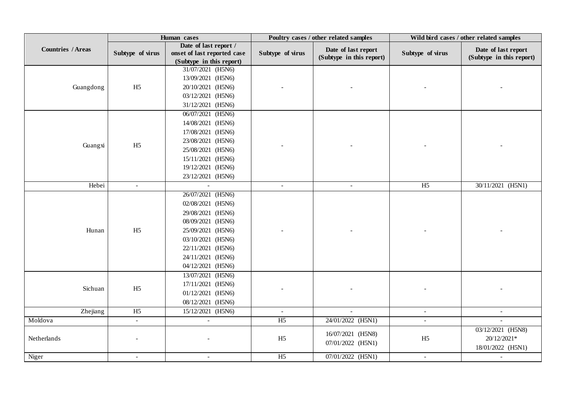|                           |                  | Human cases                 | Poultry cases / other related samples |                          | Wild bird cases / other related samples |                          |
|---------------------------|------------------|-----------------------------|---------------------------------------|--------------------------|-----------------------------------------|--------------------------|
| <b>Countries / Areas</b>  |                  | Date of last report /       |                                       | Date of last report      |                                         | Date of last report      |
|                           | Subtype of virus | onset of last reported case | Subtype of virus                      | (Subtype in this report) | Subtype of virus                        | (Subtype in this report) |
|                           |                  | (Subtype in this report)    |                                       |                          |                                         |                          |
|                           |                  | 31/07/2021 (H5N6)           |                                       |                          |                                         |                          |
|                           |                  | 13/09/2021 (H5N6)           |                                       |                          |                                         |                          |
| Guangdong                 | H <sub>5</sub>   | 20/10/2021 (H5N6)           |                                       |                          |                                         |                          |
|                           |                  | 03/12/2021 (H5N6)           |                                       |                          |                                         |                          |
|                           |                  | 31/12/2021 (H5N6)           |                                       |                          |                                         |                          |
|                           |                  | 06/07/2021 (H5N6)           |                                       |                          |                                         |                          |
|                           |                  | 14/08/2021 (H5N6)           |                                       |                          |                                         |                          |
|                           |                  | 17/08/2021 (H5N6)           |                                       |                          |                                         |                          |
|                           |                  | 23/08/2021 (H5N6)           |                                       |                          |                                         |                          |
| H <sub>5</sub><br>Guangxi |                  | 25/08/2021 (H5N6)           |                                       |                          |                                         |                          |
|                           |                  | 15/11/2021 (H5N6)           |                                       |                          |                                         |                          |
|                           |                  | 19/12/2021 (H5N6)           |                                       |                          |                                         |                          |
|                           |                  | 23/12/2021 (H5N6)           |                                       |                          |                                         |                          |
| Hebei                     | $\sim$           |                             | $\sim$                                | $\sim$                   | H <sub>5</sub>                          | 30/11/2021 (H5N1)        |
|                           |                  | 26/07/2021 (H5N6)           |                                       |                          |                                         |                          |
|                           |                  | 02/08/2021 (H5N6)           |                                       |                          |                                         |                          |
|                           |                  | 29/08/2021 (H5N6)           |                                       |                          |                                         |                          |
|                           |                  | 08/09/2021 (H5N6)           |                                       |                          |                                         |                          |
| Hunan                     | H <sub>5</sub>   | 25/09/2021 (H5N6)           |                                       |                          |                                         |                          |
|                           |                  | 03/10/2021 (H5N6)           |                                       |                          |                                         |                          |
|                           |                  | 22/11/2021 (H5N6)           |                                       |                          |                                         |                          |
|                           |                  | 24/11/2021 (H5N6)           |                                       |                          |                                         |                          |
|                           |                  | 04/12/2021 (H5N6)           |                                       |                          |                                         |                          |
|                           |                  | 13/07/2021 (H5N6)           |                                       |                          |                                         |                          |
|                           |                  | 17/11/2021 (H5N6)           |                                       |                          |                                         |                          |
| Sichuan                   | H <sub>5</sub>   | 01/12/2021 (H5N6)           |                                       |                          |                                         |                          |
|                           |                  | 08/12/2021 (H5N6)           |                                       |                          |                                         |                          |
| Zhejiang                  | H <sub>5</sub>   | 15/12/2021 (H5N6)           | $\sim$                                | $\sim$                   | $\sim$                                  | $\sim$                   |
| Moldova                   | $\omega$         | $\sim$                      | H <sub>5</sub>                        | 24/01/2022 (H5N1)        | $\sim$                                  | $\equiv$                 |
|                           |                  |                             |                                       |                          |                                         | 03/12/2021 (H5N8)        |
| Netherlands               |                  |                             | H <sub>5</sub>                        | 16/07/2021 (H5N8)        | H <sub>5</sub>                          | 20/12/2021*              |
|                           |                  |                             |                                       | 07/01/2022 (H5N1)        |                                         | 18/01/2022 (H5N1)        |
| Niger                     | $\sim$           | $\sim$                      | H <sub>5</sub>                        | 07/01/2022 (H5N1)        | $\sim$                                  | $\sim$                   |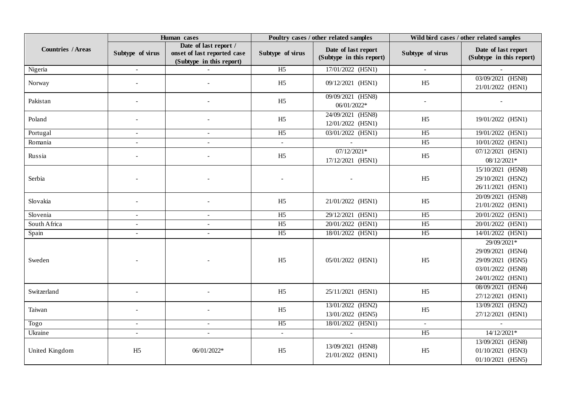|                          | Human cases              |                                                                                  | Poultry cases / other related samples |                                                 | Wild bird cases / other related samples |                                                                                                 |
|--------------------------|--------------------------|----------------------------------------------------------------------------------|---------------------------------------|-------------------------------------------------|-----------------------------------------|-------------------------------------------------------------------------------------------------|
| <b>Countries / Areas</b> | Subtype of virus         | Date of last report /<br>onset of last reported case<br>(Subtype in this report) | Subtype of virus                      | Date of last report<br>(Subtype in this report) | Subtype of virus                        | Date of last report<br>(Subtype in this report)                                                 |
| Nigeria                  | $\blacksquare$           |                                                                                  | H <sub>5</sub>                        | 17/01/2022 (H5N1)                               | $\sim$                                  |                                                                                                 |
| Norway                   |                          |                                                                                  | H <sub>5</sub>                        | 09/12/2021 (H5N1)                               | H <sub>5</sub>                          | 03/09/2021 (H5N8)<br>21/01/2022 (H5N1)                                                          |
| Pakistan                 |                          |                                                                                  | H <sub>5</sub>                        | 09/09/2021 (H5N8)<br>06/01/2022*                |                                         |                                                                                                 |
| Poland                   |                          |                                                                                  | H <sub>5</sub>                        | 24/09/2021 (H5N8)<br>12/01/2022 (H5N1)          | H <sub>5</sub>                          | 19/01/2022 (H5N1)                                                                               |
| Portugal                 |                          |                                                                                  | H <sub>5</sub>                        | 03/01/2022 (H5N1)                               | H <sub>5</sub>                          | 19/01/2022 (H5N1)                                                                               |
| Romania                  |                          |                                                                                  | $\equiv$                              | $\sim$                                          | H <sub>5</sub>                          | 10/01/2022 (H5N1)                                                                               |
| Russia                   |                          |                                                                                  | H <sub>5</sub>                        | $07/12/2021*$<br>17/12/2021 (H5N1)              | H <sub>5</sub>                          | 07/12/2021 (H5N1)<br>08/12/2021*                                                                |
| Serbia                   |                          |                                                                                  |                                       |                                                 | H <sub>5</sub>                          | 15/10/2021 (H5N8)<br>29/10/2021 (H5N2)<br>26/11/2021 (H5N1)                                     |
| Slovakia                 |                          |                                                                                  | H <sub>5</sub>                        | 21/01/2022 (H5N1)                               | H <sub>5</sub>                          | 20/09/2021 (H5N8)<br>21/01/2022 (H5N1)                                                          |
| Slovenia                 | $\sim$                   |                                                                                  | H <sub>5</sub>                        | 29/12/2021 (H5N1)                               | H <sub>5</sub>                          | 20/01/2022 (H5N1)                                                                               |
| South Africa             | $\overline{a}$           |                                                                                  | H <sub>5</sub>                        | 20/01/2022 (H5N1)                               | H <sub>5</sub>                          | $20/01/2022$ (H5N1)                                                                             |
| Spain                    | $\sim$                   | $\sim$                                                                           | $\overline{H5}$                       | 18/01/2022 (H5N1)                               | $\overline{H5}$                         | 14/01/2022 (H5N1)                                                                               |
| Sweden                   |                          |                                                                                  | H <sub>5</sub>                        | 05/01/2022 (H5N1)                               | H <sub>5</sub>                          | 29/09/2021*<br>29/09/2021 (H5N4)<br>29/09/2021 (H5N5)<br>03/01/2022 (H5N8)<br>24/01/2022 (H5N1) |
| Switzerland              | $\overline{\phantom{a}}$ |                                                                                  | H <sub>5</sub>                        | 25/11/2021 (H5N1)                               | H <sub>5</sub>                          | 08/09/2021 (H5N4)<br>27/12/2021 (H5N1)                                                          |
| Taiwan                   |                          |                                                                                  | H <sub>5</sub>                        | 13/01/2022 (H5N2)<br>13/01/2022 (H5N5)          | H <sub>5</sub>                          | 13/09/2021 (H5N2)<br>27/12/2021 (H5N1)                                                          |
| Togo                     | $\sim$                   |                                                                                  | H <sub>5</sub>                        | 18/01/2022 (H5N1)                               | $\sim$                                  |                                                                                                 |
| Ukraine                  | $\sim$                   |                                                                                  | $\blacksquare$                        |                                                 | H <sub>5</sub>                          | $14/12/2021*$                                                                                   |
| United Kingdom           | H <sub>5</sub>           | 06/01/2022*                                                                      | H <sub>5</sub>                        | 13/09/2021 (H5N8)<br>21/01/2022 (H5N1)          | H <sub>5</sub>                          | 13/09/2021 (H5N8)<br>01/10/2021 (H5N3)<br>01/10/2021 (H5N5)                                     |